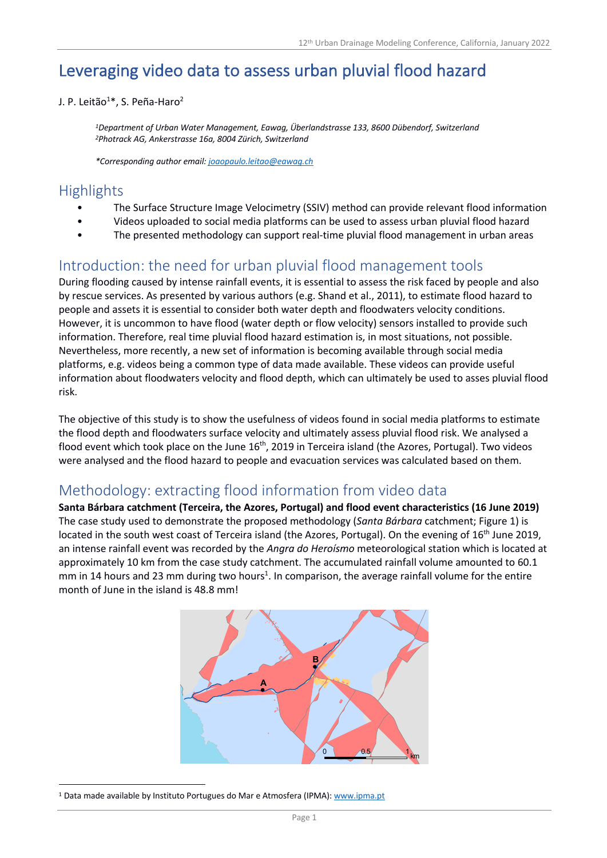# Leveraging video data to assess urban pluvial flood hazard

#### J. P. Leitão<sup>1</sup>\*, S. Peña-Haro<sup>2</sup>

*1Department of Urban Water Management, Eawag, Überlandstrasse 133, 8600 Dübendorf, Switzerland 2Photrack AG, Ankerstrasse 16a, 8004 Zürich, Switzerland*

*\*Corresponding author email: joaopaulo.leitao@eawag.ch*

### **Highlights**

- The Surface Structure Image Velocimetry (SSIV) method can provide relevant flood information
- Videos uploaded to social media platforms can be used to assess urban pluvial flood hazard
- The presented methodology can support real-time pluvial flood management in urban areas

## Introduction: the need for urban pluvial flood management tools

During flooding caused by intense rainfall events, it is essential to assess the risk faced by people and also by rescue services. As presented by various authors (e.g. Shand et al., 2011), to estimate flood hazard to people and assets it is essential to consider both water depth and floodwaters velocity conditions. However, it is uncommon to have flood (water depth or flow velocity) sensors installed to provide such information. Therefore, real time pluvial flood hazard estimation is, in most situations, not possible. Nevertheless, more recently, a new set of information is becoming available through social media platforms, e.g. videos being a common type of data made available. These videos can provide useful information about floodwaters velocity and flood depth, which can ultimately be used to asses pluvial flood risk.

The objective of this study is to show the usefulness of videos found in social media platforms to estimate the flood depth and floodwaters surface velocity and ultimately assess pluvial flood risk. We analysed a flood event which took place on the June 16<sup>th</sup>, 2019 in Terceira island (the Azores, Portugal). Two videos were analysed and the flood hazard to people and evacuation services was calculated based on them.

## Methodology: extracting flood information from video data

**Santa Bárbara catchment (Terceira, the Azores, Portugal) and flood event characteristics (16 June 2019)** The case study used to demonstrate the proposed methodology (*Santa Bárbara* catchment; Figure 1) is located in the south west coast of Terceira island (the Azores, Portugal). On the evening of 16<sup>th</sup> June 2019, an intense rainfall event was recorded by the *Angra do Heroísmo* meteorological station which is located at approximately 10 km from the case study catchment. The accumulated rainfall volume amounted to 60.1 mm in 14 hours and 23 mm during two hours<sup>1</sup>. In comparison, the average rainfall volume for the entire month of June in the island is 48.8 mm!



<sup>&</sup>lt;sup>1</sup> Data made available by Instituto Portugues do Mar e Atmosfera (IPMA): www.ipma.pt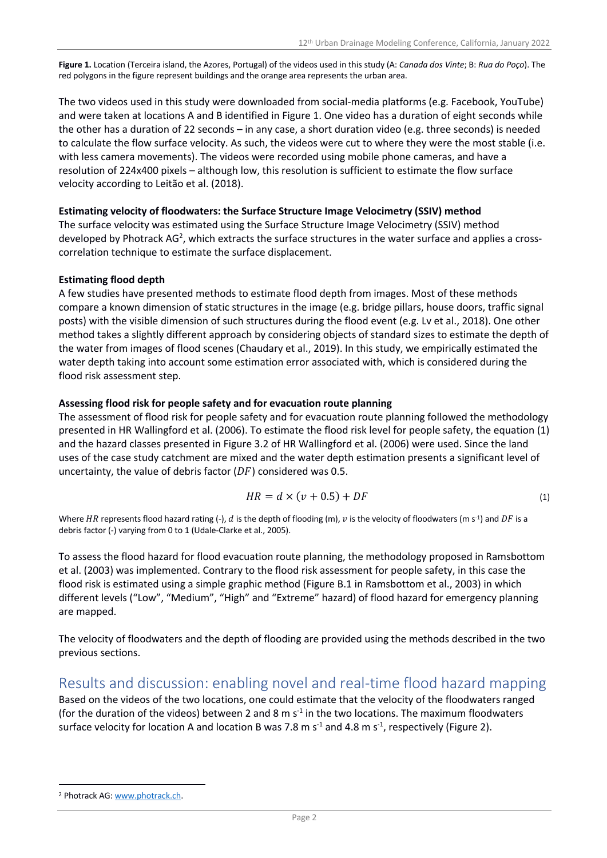**Figure 1.** Location (Terceira island, the Azores, Portugal) of the videos used in this study (A: *Canada dos Vinte*; B: *Rua do Poço*). The red polygons in the figure represent buildings and the orange area represents the urban area.

The two videos used in this study were downloaded from social-media platforms (e.g. Facebook, YouTube) and were taken at locations A and B identified in Figure 1. One video has a duration of eight seconds while the other has a duration of 22 seconds – in any case, a short duration video (e.g. three seconds) is needed to calculate the flow surface velocity. As such, the videos were cut to where they were the most stable (i.e. with less camera movements). The videos were recorded using mobile phone cameras, and have a resolution of 224x400 pixels – although low, this resolution is sufficient to estimate the flow surface velocity according to Leitão et al. (2018).

#### **Estimating velocity of floodwaters: the Surface Structure Image Velocimetry (SSIV) method**

The surface velocity was estimated using the Surface Structure Image Velocimetry (SSIV) method developed by Photrack AG<sup>2</sup>, which extracts the surface structures in the water surface and applies a crosscorrelation technique to estimate the surface displacement.

#### **Estimating flood depth**

A few studies have presented methods to estimate flood depth from images. Most of these methods compare a known dimension of static structures in the image (e.g. bridge pillars, house doors, traffic signal posts) with the visible dimension of such structures during the flood event (e.g. Lv et al., 2018). One other method takes a slightly different approach by considering objects of standard sizes to estimate the depth of the water from images of flood scenes (Chaudary et al., 2019). In this study, we empirically estimated the water depth taking into account some estimation error associated with, which is considered during the flood risk assessment step.

#### **Assessing flood risk for people safety and for evacuation route planning**

The assessment of flood risk for people safety and for evacuation route planning followed the methodology presented in HR Wallingford et al. (2006). To estimate the flood risk level for people safety, the equation (1) and the hazard classes presented in Figure 3.2 of HR Wallingford et al. (2006) were used. Since the land uses of the case study catchment are mixed and the water depth estimation presents a significant level of uncertainty, the value of debris factor  $(DF)$  considered was 0.5.

$$
HR = d \times (v + 0.5) + DF \tag{1}
$$

Where HR represents flood hazard rating (-), d is the depth of flooding (m), v is the velocity of floodwaters (m s<sup>-1</sup>) and DF is a debris factor (-) varying from 0 to 1 (Udale-Clarke et al., 2005).

To assess the flood hazard for flood evacuation route planning, the methodology proposed in Ramsbottom et al. (2003) was implemented. Contrary to the flood risk assessment for people safety, in this case the flood risk is estimated using a simple graphic method (Figure B.1 in Ramsbottom et al., 2003) in which different levels ("Low", "Medium", "High" and "Extreme" hazard) of flood hazard for emergency planning are mapped.

The velocity of floodwaters and the depth of flooding are provided using the methods described in the two previous sections.

### Results and discussion: enabling novel and real-time flood hazard mapping

Based on the videos of the two locations, one could estimate that the velocity of the floodwaters ranged (for the duration of the videos) between 2 and 8 m  $s<sup>-1</sup>$  in the two locations. The maximum floodwaters surface velocity for location A and location B was 7.8 m s<sup>-1</sup> and 4.8 m s<sup>-1</sup>, respectively (Figure 2).

<sup>&</sup>lt;sup>2</sup> Photrack AG: www.photrack.ch.